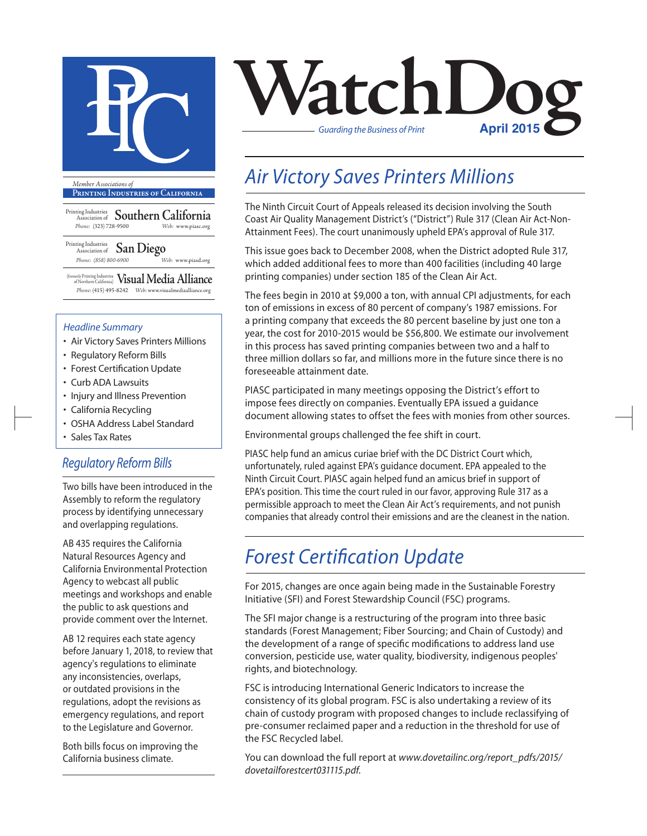

**Printing Industries of California**

Printing Industries Association of **Southern California** *Phone:* (323) 728-9500 *Web:* www.piasc.org

Printing Industries Association of **San Diego** *Phone: (858) 800-6900 Web:* www.piasd.org

(formerly Printing Industries of Northern California) **Visual Media Alliance** *Phone:* (415) 495-8242 *Web:* www.visualmediaalliance.org

#### *Headline Summary*

- Air Victory Saves Printers Millions
- Regulatory Reform Bills
- Forest Certification Update
- Curb ADA Lawsuits
- Injury and Illness Prevention
- California Recycling
- OSHA Address Label Standard
- Sales Tax Rates

#### *Regulatory Reform Bills*

Two bills have been introduced in the Assembly to reform the regulatory process by identifying unnecessary and overlapping regulations.

AB 435 requires the California Natural Resources Agency and California Environmental Protection Agency to webcast all public meetings and workshops and enable the public to ask questions and provide comment over the Internet.

AB 12 requires each state agency before January 1, 2018, to review that agency's regulations to eliminate any inconsistencies, overlaps, or outdated provisions in the regulations, adopt the revisions as emergency regulations, and report to the Legislature and Governor.

Both bills focus on improving the California business climate.

# **VatchDoger** *Guarding the Business of Print*

## *Air Victory Saves Printers Millions*

The Ninth Circuit Court of Appeals released its decision involving the South Coast Air Quality Management District's ("District") Rule 317 (Clean Air Act-Non-Attainment Fees). The court unanimously upheld EPA's approval of Rule 317.

This issue goes back to December 2008, when the District adopted Rule 317, which added additional fees to more than 400 facilities (including 40 large printing companies) under section 185 of the Clean Air Act.

The fees begin in 2010 at \$9,000 a ton, with annual CPI adjustments, for each ton of emissions in excess of 80 percent of company's 1987 emissions. For a printing company that exceeds the 80 percent baseline by just one ton a year, the cost for 2010-2015 would be \$56,800. We estimate our involvement in this process has saved printing companies between two and a half to three million dollars so far, and millions more in the future since there is no foreseeable attainment date.

PIASC participated in many meetings opposing the District's effort to impose fees directly on companies. Eventually EPA issued a guidance document allowing states to offset the fees with monies from other sources.

Environmental groups challenged the fee shift in court.

PIASC help fund an amicus curiae brief with the DC District Court which, unfortunately, ruled against EPA's guidance document. EPA appealed to the Ninth Circuit Court. PIASC again helped fund an amicus brief in support of EPA's position. This time the court ruled in our favor, approving Rule 317 as a permissible approach to meet the Clean Air Act's requirements, and not punish companies that already control their emissions and are the cleanest in the nation.

#### *Forest Certification Update*

For 2015, changes are once again being made in the Sustainable Forestry Initiative (SFI) and Forest Stewardship Council (FSC) programs.

The SFI major change is a restructuring of the program into three basic standards (Forest Management; Fiber Sourcing; and Chain of Custody) and the development of a range of specific modifications to address land use conversion, pesticide use, water quality, biodiversity, indigenous peoples' rights, and biotechnology.

FSC is introducing International Generic Indicators to increase the consistency of its global program. FSC is also undertaking a review of its chain of custody program with proposed changes to include reclassifying of pre-consumer reclaimed paper and a reduction in the threshold for use of the FSC Recycled label.

You can download the full report at *www.dovetailinc.org/report\_pdfs/2015/ dovetailforestcert031115.pdf*.